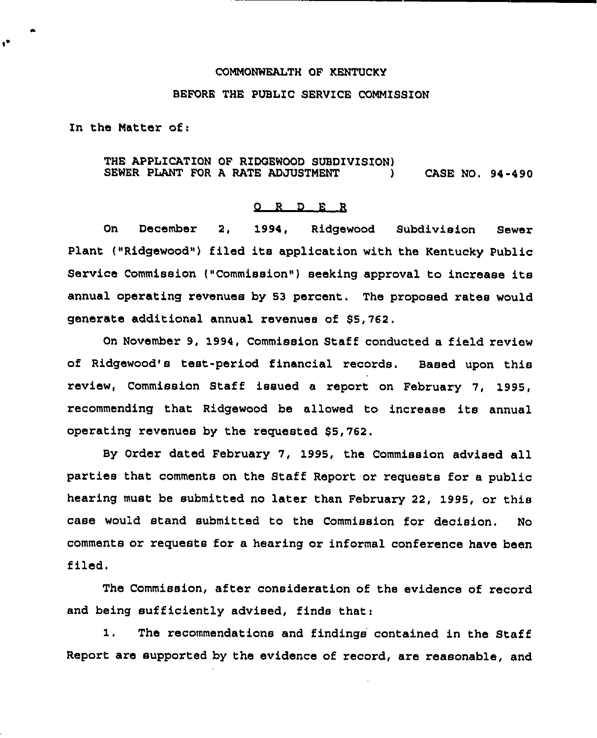#### COMMONWEALTH OF KENTUCKY

# BEFORE THE PUBLIC SERVICE COMMISSION

In the Mattex of;

#### THE APPLICATION OF RIDQEWOOD SUBDIVISION) SEWER PLANT FOR A RATE ADJUSTMENT (2008) CASE NO. 94-490

## 0 <sup>R</sup> <sup>D</sup> E <sup>R</sup>

On Decembex 2, 1994, Ridgewood Subdivision Sewex Plant ("Ridgewood") filed its application with the Kentucky Public Service Commission ("Commission") seeking approval to increase its annual operating revenues by 53 percent. The proposed rates would generate additional annual revenues of \$5,762.

On November 9, 1994, Commission Staff conducted a field review of Ridgewood's test-period financial records. Based upon this review, Commission Staff issued a report on February 7, 1995, recommending that Ridgewood be allowed to increase its annual operating revenues by the requested \$5,762.

By Order dated February 7, 1995, the Commission advised all parties that comments on the Staff Report or requests for a public hearing must be submitted no later than February 22, 1995, or this case would stand submitted to the Commission for decision. No comments oz requests for a hearing or informal conference have been filed.

The Commission, after consideration of the evidence of record and being sufficiently advised, finds that:

1. The recommendations and findings contained in the Staff Report are supported by the evidence of record, are reasonable, and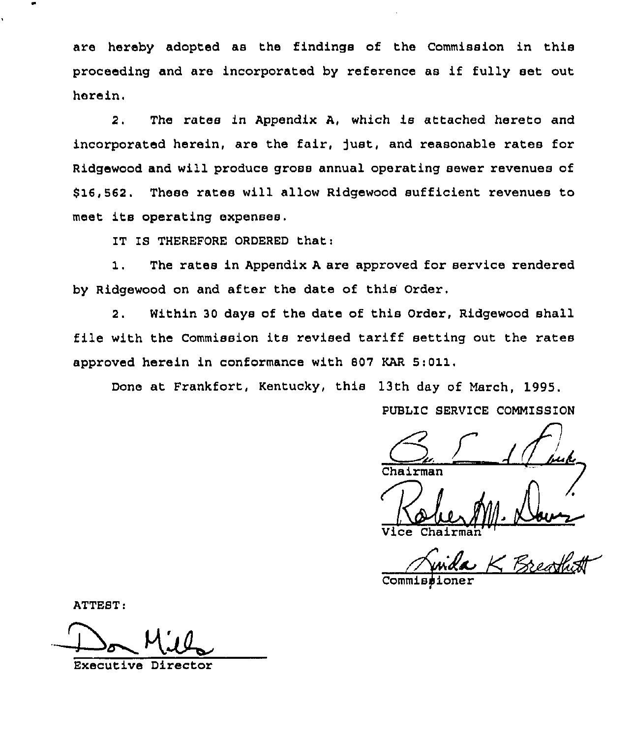are hereby adopted as the findings of the Commission in this proceeding and are incorporated by reference as if fully set out herein.

2. The rates in Appendix A, which is attached hereto and incorporated herein, are the fair, fust, and reasonable rates for Ridgewood and will produce gross annual operating sewer revenues of \$ 16,562. These rates will allow Ridgewood sufficient revenues to meet its operating expenses.

IT IS THEREFORE ORDERED that:

1. The rates in Appendix <sup>A</sup> are approved for service rendered by Ridgewood on and after the date of this Order.

2. Within 30 days of the date of this Order, Ridgewood shall file with the Commission its revised tariff setting out the rates approved herein in conformance with 807 KAR 5:011.

Done at Frankfort, Kentucky, this 13th day of March, 1995.

PUBLIC SERVICE COMMISSION

 $4\int_{\mathbb{R}}$ 

Chairman

Vice Chairman

Commissione

ATTEST:

Executive Director